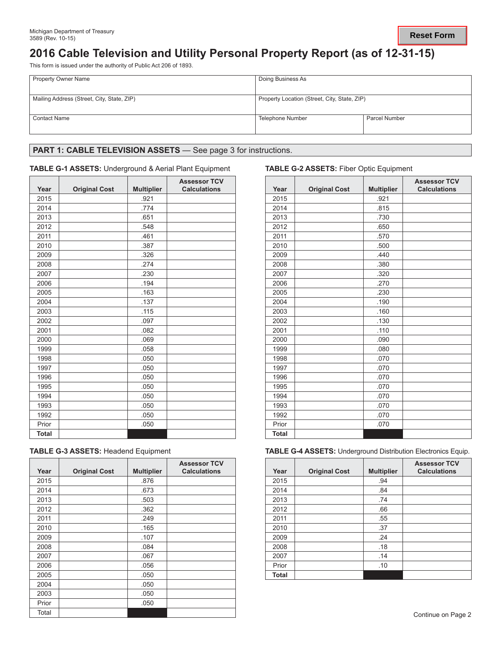# **2016 Cable Television and Utility Personal Property Report (as of 12-31-15)**

This form is issued under the authority of Public Act 206 of 1893.

| <b>Property Owner Name</b>                 | Doing Business As                            |                      |  |
|--------------------------------------------|----------------------------------------------|----------------------|--|
| Mailing Address (Street, City, State, ZIP) | Property Location (Street, City, State, ZIP) |                      |  |
| <b>Contact Name</b>                        | Telephone Number                             | <b>Parcel Number</b> |  |

# PART 1: CABLE TELEVISION ASSETS - See page 3 for instructions.

### **TABLE G-1 ASSETS:** Underground & Aerial Plant Equipment **TABLE G-2 ASSETS:** Fiber Optic Equipment

| Year         | <b>Original Cost</b> | <b>Multiplier</b> | <b>Assessor TCV</b><br><b>Calculations</b> | Year         | <b>Original Cost</b> | <b>Multipl</b> |
|--------------|----------------------|-------------------|--------------------------------------------|--------------|----------------------|----------------|
| 2015         |                      | .921              |                                            | 2015         |                      |                |
| 2014         |                      | .774              |                                            | 2014         |                      |                |
| 2013         |                      | .651              |                                            | 2013         |                      |                |
| 2012         |                      | .548              |                                            | 2012         |                      |                |
| 2011         |                      | .461              |                                            | 2011         |                      |                |
| 2010         |                      | .387              |                                            | 2010         |                      |                |
| 2009         |                      | .326              |                                            | 2009         |                      |                |
| 2008         |                      | .274              |                                            | 2008         |                      |                |
| 2007         |                      | .230              |                                            | 2007         |                      |                |
| 2006         |                      | .194              |                                            | 2006         |                      |                |
| 2005         |                      | .163              |                                            | 2005         |                      |                |
| 2004         |                      | .137              |                                            | 2004         |                      |                |
| 2003         |                      | .115              |                                            | 2003         |                      |                |
| 2002         |                      | .097              |                                            | 2002         |                      |                |
| 2001         |                      | .082              |                                            | 2001         |                      |                |
| 2000         |                      | .069              |                                            | 2000         |                      |                |
| 1999         |                      | .058              |                                            | 1999         |                      |                |
| 1998         |                      | .050              |                                            | 1998         |                      |                |
| 1997         |                      | .050              |                                            | 1997         |                      |                |
| 1996         |                      | .050              |                                            | 1996         |                      |                |
| 1995         |                      | .050              |                                            | 1995         |                      |                |
| 1994         |                      | .050              |                                            | 1994         |                      |                |
| 1993         |                      | .050              |                                            | 1993         |                      |                |
| 1992         |                      | .050              |                                            | 1992         |                      |                |
| Prior        |                      | .050              |                                            | Prior        |                      |                |
| <b>Total</b> |                      |                   |                                            | <b>Total</b> |                      |                |

|  |  |  |  | <b>TABLE G-3 ASSETS: Headend Equipment</b> |
|--|--|--|--|--------------------------------------------|
|--|--|--|--|--------------------------------------------|

| Year  | <b>Original Cost</b> | <b>Multiplier</b> | <b>Assessor TCV</b><br><b>Calculations</b> | Year  | <b>Original Cost</b> | <b>Multip</b> |
|-------|----------------------|-------------------|--------------------------------------------|-------|----------------------|---------------|
| 2015  |                      | .876              |                                            | 2015  |                      | .94           |
| 2014  |                      | .673              |                                            | 2014  |                      | .84           |
| 2013  |                      | .503              |                                            | 2013  |                      | .74           |
| 2012  |                      | .362              |                                            | 2012  |                      | .66           |
| 2011  |                      | .249              |                                            | 2011  |                      | .55           |
| 2010  |                      | .165              |                                            | 2010  |                      | .37           |
| 2009  |                      | .107              |                                            | 2009  |                      | .24           |
| 2008  |                      | .084              |                                            | 2008  |                      | .18           |
| 2007  |                      | .067              |                                            | 2007  |                      | .14           |
| 2006  |                      | .056              |                                            | Prior |                      | .10           |
| 2005  |                      | .050              |                                            | Total |                      |               |
| 2004  |                      | .050              |                                            |       |                      |               |
| 2003  |                      | .050              |                                            |       |                      |               |
| Prior |                      | .050              |                                            |       |                      |               |
| Total |                      |                   |                                            |       |                      |               |

| <b>Assessor TCV</b><br><b>Calculations</b> | Year         | <b>Original Cost</b> | <b>Multiplier</b> | <b>Assessor TCV</b><br><b>Calculations</b> |
|--------------------------------------------|--------------|----------------------|-------------------|--------------------------------------------|
|                                            | 2015         |                      | .921              |                                            |
|                                            | 2014         |                      | .815              |                                            |
|                                            | 2013         |                      | .730              |                                            |
|                                            | 2012         |                      | .650              |                                            |
|                                            | 2011         |                      | .570              |                                            |
|                                            | 2010         |                      | .500              |                                            |
|                                            | 2009         |                      | .440              |                                            |
|                                            | 2008         |                      | .380              |                                            |
|                                            | 2007         |                      | .320              |                                            |
|                                            | 2006         |                      | .270              |                                            |
|                                            | 2005         |                      | .230              |                                            |
|                                            | 2004         |                      | .190              |                                            |
|                                            | 2003         |                      | .160              |                                            |
|                                            | 2002         |                      | .130              |                                            |
|                                            | 2001         |                      | .110              |                                            |
|                                            | 2000         |                      | .090              |                                            |
|                                            | 1999         |                      | .080              |                                            |
|                                            | 1998         |                      | .070              |                                            |
|                                            | 1997         |                      | .070              |                                            |
|                                            | 1996         |                      | .070              |                                            |
|                                            | 1995         |                      | .070              |                                            |
|                                            | 1994         |                      | .070              |                                            |
|                                            | 1993         |                      | .070              |                                            |
|                                            | 1992         |                      | .070              |                                            |
|                                            | Prior        |                      | .070              |                                            |
|                                            | <b>Total</b> |                      |                   |                                            |

**TABLE G-4 ASSETS: Underground Distribution Electronics Equip.** 

| <b>\ssessor TCV</b><br><b>Calculations</b> | Year         | <b>Original Cost</b> | <b>Multiplier</b> | <b>Assessor TCV</b><br><b>Calculations</b> |
|--------------------------------------------|--------------|----------------------|-------------------|--------------------------------------------|
|                                            | 2015         |                      | .94               |                                            |
|                                            | 2014         |                      | .84               |                                            |
|                                            | 2013         |                      | .74               |                                            |
|                                            | 2012         |                      | .66               |                                            |
|                                            | 2011         |                      | .55               |                                            |
|                                            | 2010         |                      | .37               |                                            |
|                                            | 2009         |                      | .24               |                                            |
|                                            | 2008         |                      | .18               |                                            |
|                                            | 2007         |                      | .14               |                                            |
|                                            | Prior        |                      | .10               |                                            |
|                                            | <b>Total</b> |                      |                   |                                            |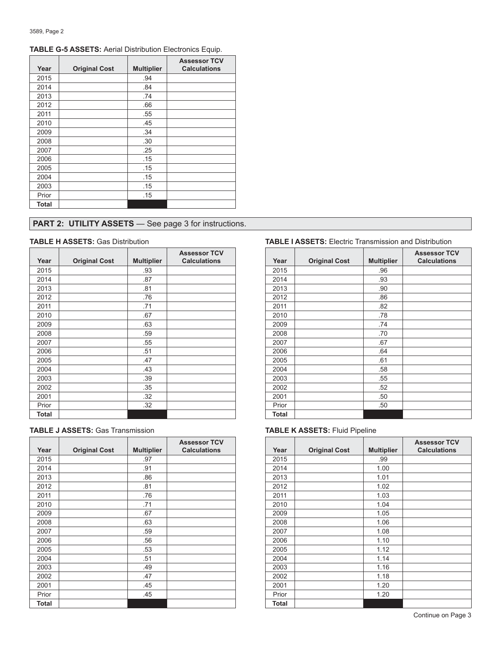| Year  | <b>Original Cost</b> | <b>Multiplier</b> | <b>Assessor TCV</b><br><b>Calculations</b> |
|-------|----------------------|-------------------|--------------------------------------------|
| 2015  |                      | .94               |                                            |
| 2014  |                      | .84               |                                            |
| 2013  |                      | .74               |                                            |
| 2012  |                      | .66               |                                            |
| 2011  |                      | .55               |                                            |
| 2010  |                      | .45               |                                            |
| 2009  |                      | .34               |                                            |
| 2008  |                      | .30               |                                            |
| 2007  |                      | .25               |                                            |
| 2006  |                      | .15               |                                            |
| 2005  |                      | .15               |                                            |
| 2004  |                      | .15               |                                            |
| 2003  |                      | .15               |                                            |
| Prior |                      | .15               |                                            |
| Total |                      |                   |                                            |

# **TABLE G-5 ASSETS:** Aerial Distribution Electronics Equip.

# **PART 2: UTILITY ASSETS** - See page 3 for instructions.

| Year  | <b>Original Cost</b> | <b>Multiplier</b> | <b>Assessor TCV</b><br><b>Calculations</b> | Year  | <b>Original Cost</b> | <b>Multip</b> |
|-------|----------------------|-------------------|--------------------------------------------|-------|----------------------|---------------|
| 2015  |                      | .93               |                                            | 2015  |                      | .96           |
| 2014  |                      | .87               |                                            | 2014  |                      | .93           |
| 2013  |                      | .81               |                                            | 2013  |                      | .90           |
| 2012  |                      | .76               |                                            | 2012  |                      | .86           |
| 2011  |                      | .71               |                                            | 2011  |                      | .82           |
| 2010  |                      | .67               |                                            | 2010  |                      | .78           |
| 2009  |                      | .63               |                                            | 2009  |                      | .74           |
| 2008  |                      | .59               |                                            | 2008  |                      | .70           |
| 2007  |                      | .55               |                                            | 2007  |                      | .67           |
| 2006  |                      | .51               |                                            | 2006  |                      | .64           |
| 2005  |                      | .47               |                                            | 2005  |                      | .61           |
| 2004  |                      | .43               |                                            | 2004  |                      | .58           |
| 2003  |                      | .39               |                                            | 2003  |                      | .55           |
| 2002  |                      | .35               |                                            | 2002  |                      | .52           |
| 2001  |                      | .32               |                                            | 2001  |                      | .50           |
| Prior |                      | .32               |                                            | Prior |                      | .50           |
| Total |                      |                   |                                            | Total |                      |               |

| <b>TABLE J ASSETS: Gas Transmission</b> |  |
|-----------------------------------------|--|
|-----------------------------------------|--|

|       |                      |                   | <b>Assessor TCV</b> |              |                      |                |
|-------|----------------------|-------------------|---------------------|--------------|----------------------|----------------|
| Year  | <b>Original Cost</b> | <b>Multiplier</b> | <b>Calculations</b> | Year         | <b>Original Cost</b> | <b>Multipl</b> |
| 2015  |                      | .97               |                     | 2015         |                      | .99            |
| 2014  |                      | .91               |                     | 2014         |                      | 1.00           |
| 2013  |                      | .86               |                     | 2013         |                      | 1.01           |
| 2012  |                      | .81               |                     | 2012         |                      | 1.02           |
| 2011  |                      | .76               |                     | 2011         |                      | 1.03           |
| 2010  |                      | .71               |                     | 2010         |                      | 1.04           |
| 2009  |                      | .67               |                     | 2009         |                      | 1.05           |
| 2008  |                      | .63               |                     | 2008         |                      | 1.06           |
| 2007  |                      | .59               |                     | 2007         |                      | 1.08           |
| 2006  |                      | .56               |                     | 2006         |                      | 1.10           |
| 2005  |                      | .53               |                     | 2005         |                      | 1.12           |
| 2004  |                      | .51               |                     | 2004         |                      | 1.14           |
| 2003  |                      | .49               |                     | 2003         |                      | 1.16           |
| 2002  |                      | .47               |                     | 2002         |                      | 1.18           |
| 2001  |                      | .45               |                     | 2001         |                      | 1.20           |
| Prior |                      | .45               |                     | Prior        |                      | 1.20           |
| Total |                      |                   |                     | <b>Total</b> |                      |                |

# **TABLE H ASSETS:** Gas Distribution **TABLE I ASSETS:** Electric Transmission and Distribution

| <b>Assessor TCV</b><br><b>Calculations</b> | Year         | <b>Original Cost</b> | <b>Multiplier</b> | <b>Assessor TCV</b><br><b>Calculations</b> |
|--------------------------------------------|--------------|----------------------|-------------------|--------------------------------------------|
|                                            | 2015         |                      | .96               |                                            |
|                                            | 2014         |                      | .93               |                                            |
|                                            | 2013         |                      | .90               |                                            |
|                                            | 2012         |                      | .86               |                                            |
|                                            | 2011         |                      | .82               |                                            |
|                                            | 2010         |                      | .78               |                                            |
|                                            | 2009         |                      | .74               |                                            |
|                                            | 2008         |                      | .70               |                                            |
|                                            | 2007         |                      | .67               |                                            |
|                                            | 2006         |                      | .64               |                                            |
|                                            | 2005         |                      | .61               |                                            |
|                                            | 2004         |                      | .58               |                                            |
|                                            | 2003         |                      | .55               |                                            |
|                                            | 2002         |                      | .52               |                                            |
|                                            | 2001         |                      | .50               |                                            |
|                                            | Prior        |                      | .50               |                                            |
|                                            | <b>Total</b> |                      |                   |                                            |

# **TABLE K ASSETS: Fluid Pipeline**

| <b>Assessor TCV</b><br><b>Calculations</b> | Year  | <b>Original Cost</b> | <b>Multiplier</b> | <b>Assessor TCV</b><br><b>Calculations</b> |
|--------------------------------------------|-------|----------------------|-------------------|--------------------------------------------|
|                                            | 2015  |                      | .99               |                                            |
|                                            | 2014  |                      | 1.00              |                                            |
|                                            | 2013  |                      | 1.01              |                                            |
|                                            | 2012  |                      | 1.02              |                                            |
|                                            | 2011  |                      | 1.03              |                                            |
|                                            | 2010  |                      | 1.04              |                                            |
|                                            | 2009  |                      | 1.05              |                                            |
|                                            | 2008  |                      | 1.06              |                                            |
|                                            | 2007  |                      | 1.08              |                                            |
|                                            | 2006  |                      | 1.10              |                                            |
|                                            | 2005  |                      | 1.12              |                                            |
|                                            | 2004  |                      | 1.14              |                                            |
|                                            | 2003  |                      | 1.16              |                                            |
|                                            | 2002  |                      | 1.18              |                                            |
|                                            | 2001  |                      | 1.20              |                                            |
|                                            | Prior |                      | 1.20              |                                            |
|                                            | Total |                      |                   |                                            |